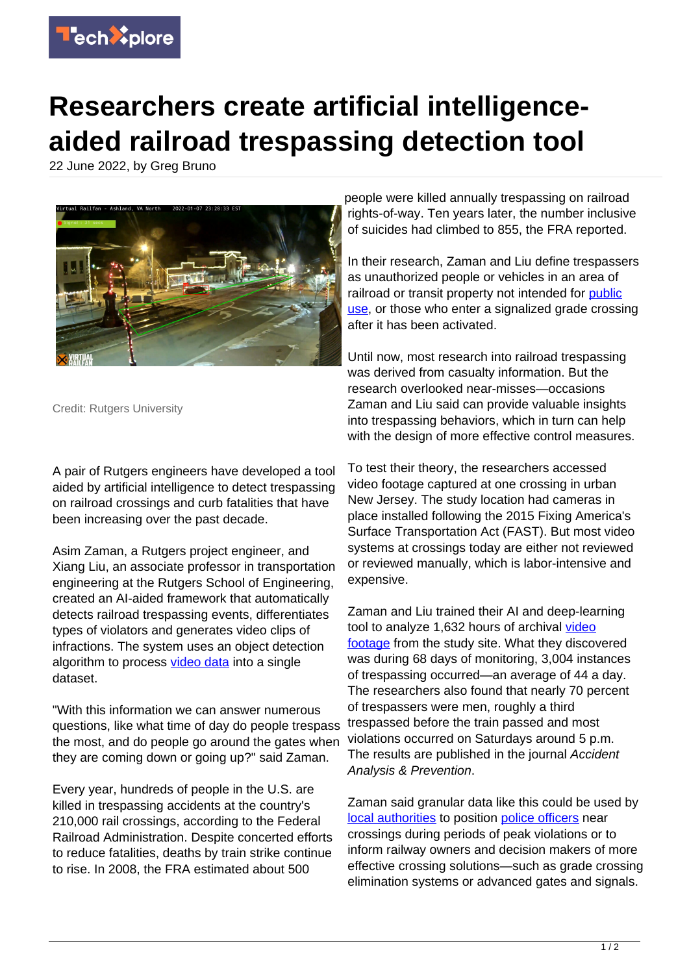

## **Researchers create artificial intelligenceaided railroad trespassing detection tool**

22 June 2022, by Greg Bruno



Credit: Rutgers University

A pair of Rutgers engineers have developed a tool aided by artificial intelligence to detect trespassing on railroad crossings and curb fatalities that have been increasing over the past decade.

Asim Zaman, a Rutgers project engineer, and Xiang Liu, an associate professor in transportation engineering at the Rutgers School of Engineering, created an AI-aided framework that automatically detects railroad trespassing events, differentiates types of violators and generates video clips of infractions. The system uses an object detection algorithm to process [video data](https://techxplore.com/tags/video+data/) into a single dataset.

"With this information we can answer numerous questions, like what time of day do people trespass the most, and do people go around the gates when they are coming down or going up?" said Zaman.

Every year, hundreds of people in the U.S. are killed in trespassing accidents at the country's 210,000 rail crossings, according to the Federal Railroad Administration. Despite concerted efforts to reduce fatalities, deaths by train strike continue to rise. In 2008, the FRA estimated about 500

people were killed annually trespassing on railroad rights-of-way. Ten years later, the number inclusive of suicides had climbed to 855, the FRA reported.

In their research, Zaman and Liu define trespassers as unauthorized people or vehicles in an area of railroad or transit property not intended for [public](https://techxplore.com/tags/public+use/) [use](https://techxplore.com/tags/public+use/), or those who enter a signalized grade crossing after it has been activated.

Until now, most research into railroad trespassing was derived from casualty information. But the research overlooked near-misses—occasions Zaman and Liu said can provide valuable insights into trespassing behaviors, which in turn can help with the design of more effective control measures.

To test their theory, the researchers accessed video footage captured at one crossing in urban New Jersey. The study location had cameras in place installed following the 2015 Fixing America's Surface Transportation Act (FAST). But most video systems at crossings today are either not reviewed or reviewed manually, which is labor-intensive and expensive.

Zaman and Liu trained their AI and deep-learning tool to analyze 1,632 hours of archival [video](https://techxplore.com/tags/video+footage/) [footage](https://techxplore.com/tags/video+footage/) from the study site. What they discovered was during 68 days of monitoring, 3,004 instances of trespassing occurred—an average of 44 a day. The researchers also found that nearly 70 percent of trespassers were men, roughly a third trespassed before the train passed and most violations occurred on Saturdays around 5 p.m. The results are published in the journal Accident Analysis & Prevention.

Zaman said granular data like this could be used by [local authorities](https://techxplore.com/tags/local+authorities/) to position [police officers](https://techxplore.com/tags/police+officers/) near crossings during periods of peak violations or to inform railway owners and decision makers of more effective crossing solutions—such as grade crossing elimination systems or advanced gates and signals.